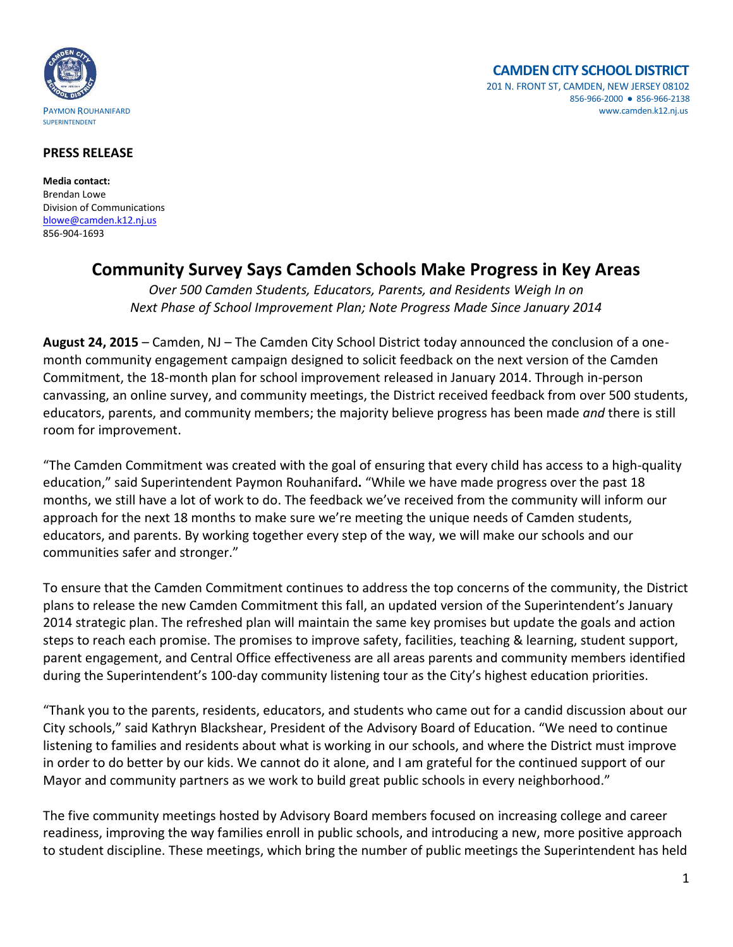

## **PRESS RELEASE**

**Media contact:** Brendan Lowe Division of Communications [blowe@camden.k12.nj.us](mailto:blowe@camden.k12.nj.us) 856-904-1693

## **Community Survey Says Camden Schools Make Progress in Key Areas**

*Over 500 Camden Students, Educators, Parents, and Residents Weigh In on Next Phase of School Improvement Plan; Note Progress Made Since January 2014* 

**August 24, 2015** – Camden, NJ – The Camden City School District today announced the conclusion of a onemonth community engagement campaign designed to solicit feedback on the next version of the Camden Commitment, the 18-month plan for school improvement released in January 2014. Through in-person canvassing, an online survey, and community meetings, the District received feedback from over 500 students, educators, parents, and community members; the majority believe progress has been made *and* there is still room for improvement.

"The Camden Commitment was created with the goal of ensuring that every child has access to a high-quality education," said Superintendent Paymon Rouhanifard**.** "While we have made progress over the past 18 months, we still have a lot of work to do. The feedback we've received from the community will inform our approach for the next 18 months to make sure we're meeting the unique needs of Camden students, educators, and parents. By working together every step of the way, we will make our schools and our communities safer and stronger."

To ensure that the Camden Commitment continues to address the top concerns of the community, the District plans to release the new Camden Commitment this fall, an updated version of the Superintendent's January 2014 strategic plan. The refreshed plan will maintain the same key promises but update the goals and action steps to reach each promise. The promises to improve safety, facilities, teaching & learning, student support, parent engagement, and Central Office effectiveness are all areas parents and community members identified during the Superintendent's 100-day community listening tour as the City's highest education priorities.

"Thank you to the parents, residents, educators, and students who came out for a candid discussion about our City schools," said Kathryn Blackshear, President of the Advisory Board of Education. "We need to continue listening to families and residents about what is working in our schools, and where the District must improve in order to do better by our kids. We cannot do it alone, and I am grateful for the continued support of our Mayor and community partners as we work to build great public schools in every neighborhood."

The five community meetings hosted by Advisory Board members focused on increasing college and career readiness, improving the way families enroll in public schools, and introducing a new, more positive approach to student discipline. These meetings, which bring the number of public meetings the Superintendent has held